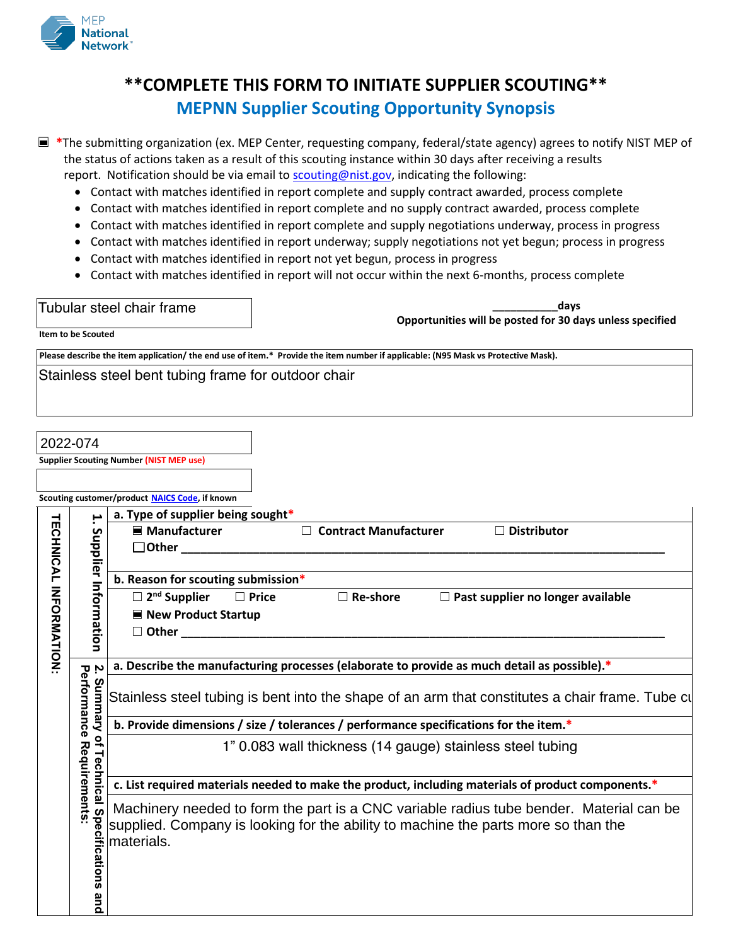

## **\*\*COMPLETE THIS FORM TO INITIATE SUPPLIER SCOUTING\*\* MEPNN Supplier Scouting Opportunity Synopsis**

☐ **\***The submitting organization (ex. MEP Center, requesting company, federal/state agency) agrees to notify NIST MEP of the status of actions taken as a result of this scouting instance within 30 days after receiving a results report. Notification should be via email to [scouting@nist.gov,](mailto:scouting@nist.gov) indicating the following:

- Contact with matches identified in report complete and supply contract awarded, process complete
- Contact with matches identified in report complete and no supply contract awarded, process complete
- Contact with matches identified in report complete and supply negotiations underway, process in progress
- Contact with matches identified in report underway; supply negotiations not yet begun; process in progress
- Contact with matches identified in report not yet begun, process in progress
- Contact with matches identified in report will not occur within the next 6-months, process complete

## Tubular steel chair frame

**\_\_\_\_\_\_\_\_\_\_\_days Opportunities will be posted for 30 days unless specified**

**Item to be Scouted**

**Please describe the item application/ the end use of item.\* Provide the item number if applicable: (N95 Mask vs Protective Mask).**

Stainless steel bent tubing frame for outdoor chair

|                      | 2022-074                                   |                                                                                                                                                                                             |
|----------------------|--------------------------------------------|---------------------------------------------------------------------------------------------------------------------------------------------------------------------------------------------|
|                      |                                            | <b>Supplier Scouting Number (NIST MEP use)</b>                                                                                                                                              |
|                      |                                            |                                                                                                                                                                                             |
|                      |                                            | Scouting customer/product NAICS Code, if known                                                                                                                                              |
| ᅴ<br><b>ECHNICAL</b> | ۳.                                         | a. Type of supplier being sought*<br>$\Box$ Distributor<br><b>Contract Manufacturer</b><br>$\blacksquare$ Manufacturer<br>$\Box$ Other $\Box$                                               |
|                      |                                            | b. Reason for scouting submission*                                                                                                                                                          |
| <b>INFORMATION:</b>  | Supplier Information                       | $\square$ 2 <sup>nd</sup> Supplier<br>$\Box$ Re-shore<br>$\Box$ Past supplier no longer available<br>$\Box$ Price<br>■ New Product Startup<br>$\Box$ Other $\Box$                           |
|                      |                                            | a. Describe the manufacturing processes (elaborate to provide as much detail as possible).*                                                                                                 |
|                      |                                            | Stainless steel tubing is bent into the shape of an arm that constitutes a chair frame. Tube cu                                                                                             |
|                      |                                            | b. Provide dimensions / size / tolerances / performance specifications for the item.*                                                                                                       |
|                      | $\mathbf{Q}_\mathbf{a}$<br>Requirements    | 1" 0.083 wall thickness (14 gauge) stainless steel tubing                                                                                                                                   |
|                      |                                            | c. List required materials needed to make the product, including materials of product components.*                                                                                          |
|                      | <b>Technical Spe</b><br>cifications<br>and | Machinery needed to form the part is a CNC variable radius tube bender. Material can be<br>supplied. Company is looking for the ability to machine the parts more so than the<br>materials. |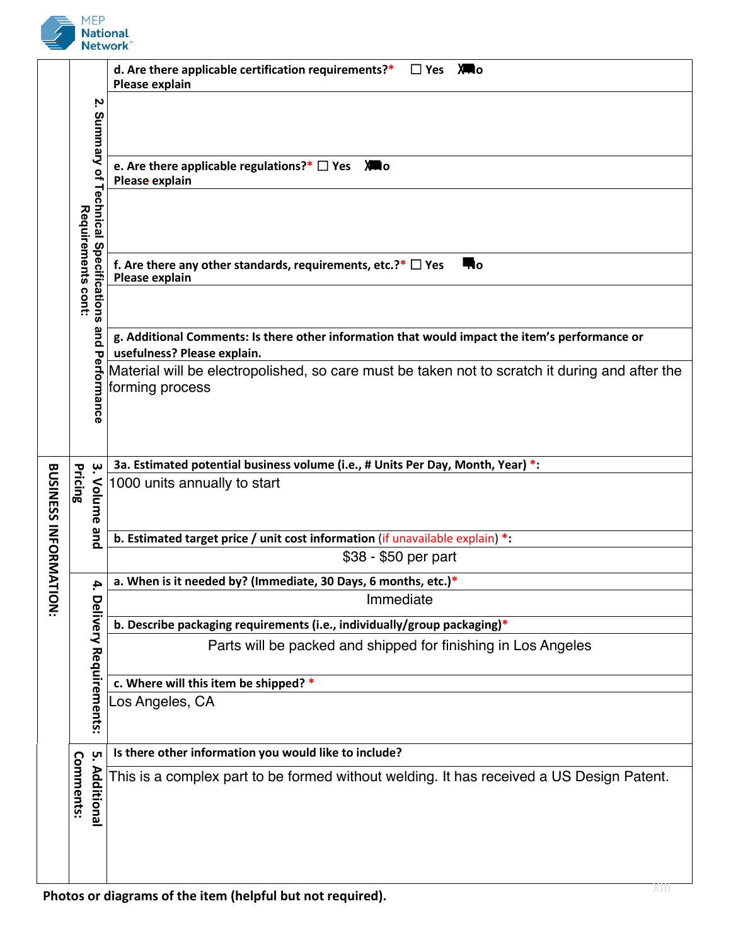

|                          |                        | d. Are there applicable certification requirements?*<br><b>XII</b> o<br>$\square$ Yes<br>Please explain           |
|--------------------------|------------------------|-------------------------------------------------------------------------------------------------------------------|
|                          | Ņ.                     |                                                                                                                   |
|                          | Summary of             |                                                                                                                   |
|                          |                        |                                                                                                                   |
|                          |                        | e. Are there applicable regulations?* $\Box$ Yes<br>X-No<br>Please explain                                        |
|                          | Technical              |                                                                                                                   |
|                          |                        |                                                                                                                   |
|                          | Requirements cont:     | <b>H</b> o<br>f. Are there any other standards, requirements, etc.?* $\Box$ Yes                                   |
|                          | Specifications         | Please explain                                                                                                    |
|                          |                        |                                                                                                                   |
|                          | and                    | g. Additional Comments: Is there other information that would impact the item's performance or                    |
|                          |                        | usefulness? Please explain.                                                                                       |
|                          | Performance            | Material will be electropolished, so care must be taken not to scratch it during and after the<br>forming process |
|                          |                        |                                                                                                                   |
|                          |                        |                                                                                                                   |
|                          |                        |                                                                                                                   |
|                          | ڛ                      | 3a. Estimated potential business volume (i.e., # Units Per Day, Month, Year) *:<br>1000 units annually to start   |
|                          | Pricing<br>Volume      |                                                                                                                   |
| <b>BUSINESS INFORMAL</b> |                        |                                                                                                                   |
|                          | pue                    | b. Estimated target price / unit cost information (if unavailable explain) $*$ :                                  |
|                          |                        | \$38 - \$50 per part                                                                                              |
|                          | 4                      | a. When is it needed by? (Immediate, 30 Days, 6 months, etc.)*                                                    |
| ion:                     |                        | Immediate                                                                                                         |
|                          |                        | b. Describe packaging requirements (i.e., individually/group packaging)*                                          |
|                          | Delivery Requirements: | Parts will be packed and shipped for finishing in Los Angeles                                                     |
|                          |                        | c. Where will this item be shipped? *                                                                             |
|                          |                        | Los Angeles, CA                                                                                                   |
|                          |                        |                                                                                                                   |
|                          | ុហ                     | Is there other information you would like to include?                                                             |
|                          | Comments:              | This is a complex part to be formed without welding. It has received a US Design Patent.                          |
|                          | Additiona              |                                                                                                                   |
|                          |                        |                                                                                                                   |
|                          |                        |                                                                                                                   |
|                          |                        |                                                                                                                   |
|                          |                        |                                                                                                                   |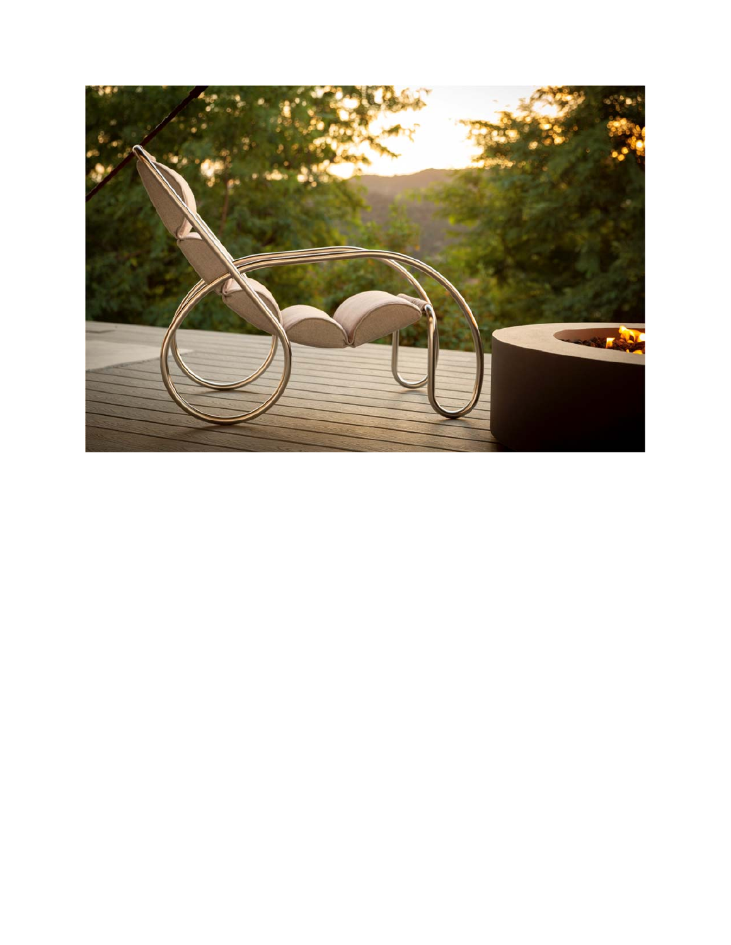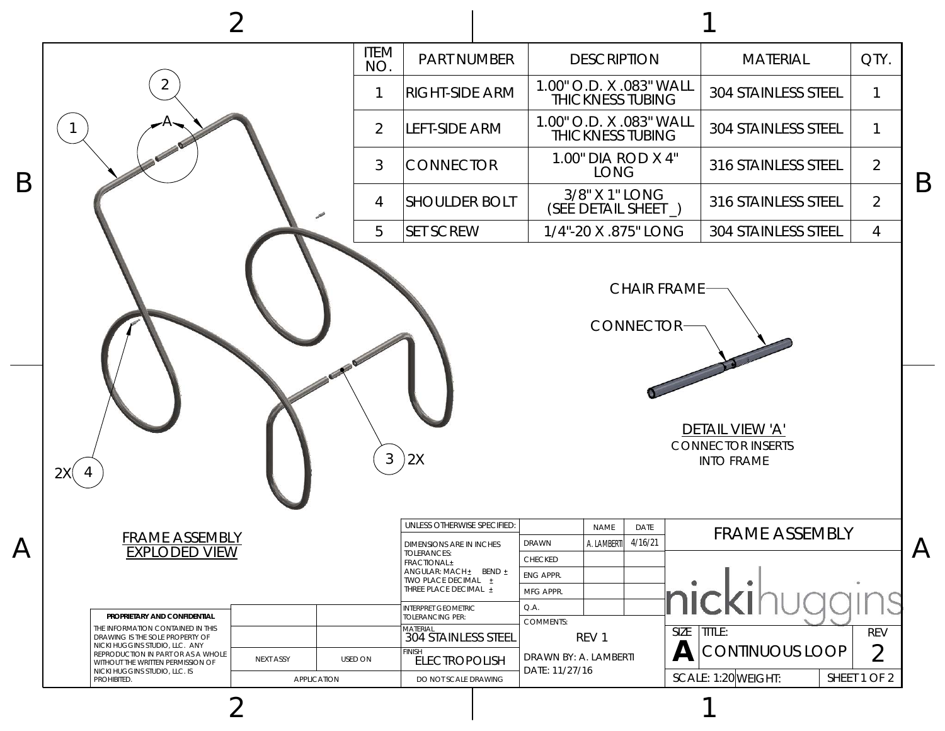|                           | $\overline{2}$                                                                                                     |                  |                |                                                                     |                                                    |                                                                  |                |                          |
|---------------------------|--------------------------------------------------------------------------------------------------------------------|------------------|----------------|---------------------------------------------------------------------|----------------------------------------------------|------------------------------------------------------------------|----------------|--------------------------|
|                           |                                                                                                                    |                  | ITEM<br>NO.    | <b>PART NUMBER</b>                                                  | <b>DESCRIPTION</b>                                 | <b>MATERIAL</b>                                                  | QTY.           |                          |
| B                         | 2                                                                                                                  |                  |                | <b>RIGHT-SIDE ARM</b>                                               | 1.00" O.D. X .083" WALL<br><b>THICKNESS TUBING</b> | 304 STAINLESS STEEL                                              | $\mathbf{1}$   |                          |
|                           |                                                                                                                    |                  | $\overline{2}$ | LEFT-SIDE ARM                                                       | 1.00" O.D. X .083" WALL<br><b>THICKNESS TUBING</b> | 304 STAINLESS STEEL                                              | $\mathbf{1}$   |                          |
|                           |                                                                                                                    |                  |                | <b>CONNECTOR</b>                                                    | 1.00" DIA ROD X 4"<br><b>LONG</b>                  | 316 STAINLESS STEEL                                              | $\overline{2}$ | B                        |
|                           |                                                                                                                    |                  |                | <b>SHOULDER BOLT</b>                                                | 3/8" X 1" LONG<br>(SEE DETAIL SHEET _)             | 316 STAINLESS STEEL                                              | $\overline{2}$ |                          |
|                           |                                                                                                                    |                  | 5              | <b>SET SCREW</b>                                                    | 1/4"-20 X .875" LONG                               | 304 STAINLESS STEEL                                              | $\overline{4}$ |                          |
|                           | 2X(<br>- 4                                                                                                         |                  | $\mathfrak{Z}$ | 2X                                                                  | CONNECTOR-                                         | DETAIL VIEW 'A'<br><b>CONNECTOR INSERTS</b><br><b>INTO FRAME</b> |                |                          |
|                           |                                                                                                                    |                  |                | UNLESS OTHERWISE SPECIFIED:                                         | <b>NAME</b><br>DATE                                | <b>FRAME ASSEMBLY</b>                                            |                |                          |
| $\boldsymbol{\mathsf{A}}$ | <b>FRAME ASSEMBLY</b><br><b>EXPLODED VIEW</b><br>PROPRIETARY AND CONFIDENTIAL<br>THE INFORMATION CONTAINED IN THIS |                  |                | DIMENSIONS ARE IN INCHES<br><b>TOLERANCES:</b>                      | 4/16/21<br>A. LAMBERTI<br>DRAWN<br>CHECKED         |                                                                  |                | $\overline{\mathcal{A}}$ |
|                           |                                                                                                                    |                  |                | <b>FRACTIONAL±</b><br>ANGULAR: MACH ± BEND ±<br>TWO PLACE DECIMAL ± | ENG APPR.                                          |                                                                  |                |                          |
|                           |                                                                                                                    |                  |                | THREE PLACE DECIMAL ±<br>INTERPRET GEOMETRIC                        | MFG APPR.<br>Q.A.                                  | nickihuad                                                        |                |                          |
|                           |                                                                                                                    |                  |                | <b>TOLERANCING PER:</b><br>MATERIAL                                 | <b>COMMENTS:</b>                                   |                                                                  |                |                          |
|                           | DRAWING IS THE SOLE PROPERTY OF<br>NICKI HUGGINS STUDIO, LLC. ANY                                                  |                  |                | 304 STAINLESS STEEL<br><b>FINISH</b>                                | REV 1                                              | SIZE TITLE:<br>$\mathbf{A}$<br>CONTINUOUS LOOP                   | <b>REV</b>     |                          |
|                           | REPRODUCTION IN PART OR AS A WHOLE<br>WITHOUT THE WRITTEN PERMISSION OF<br>NICKI HUGGINS STUDIO, LLC. IS           | <b>NEXT ASSY</b> | USED ON        | <b>ELECTROPOLISH</b>                                                | DRAWN BY: A. LAMBERTI<br>DATE: 11/27/16            |                                                                  | $\overline{2}$ |                          |
|                           | PROHIBITED.                                                                                                        | APPLICATION      |                | DO NOT SCALE DRAWING                                                | SCALE: 1:20 WEIGHT:                                |                                                                  | SHEET 1 OF 2   |                          |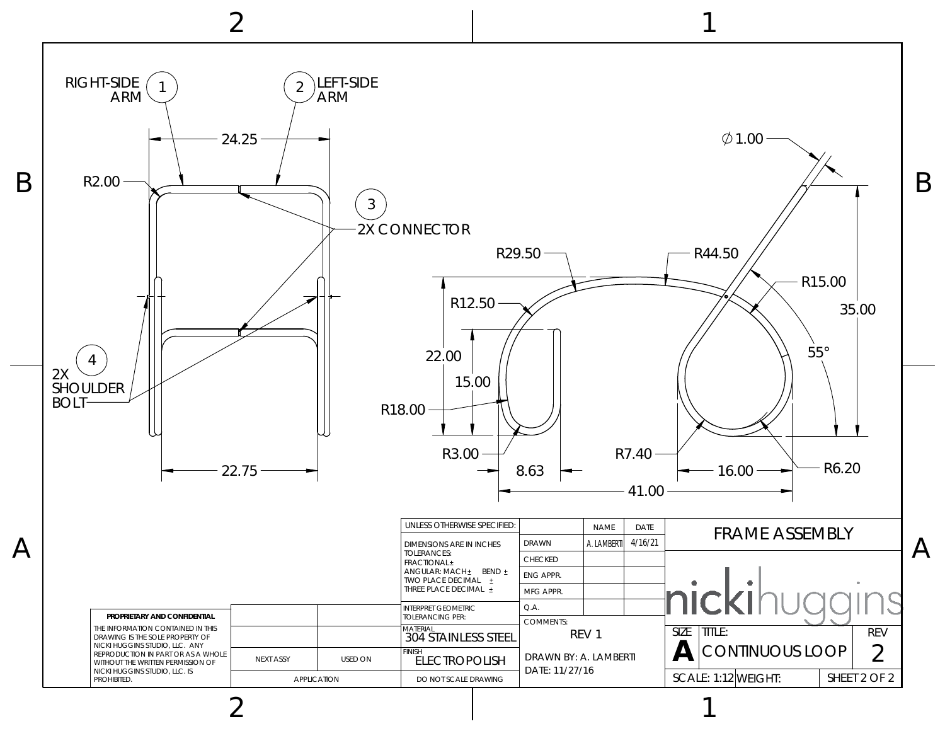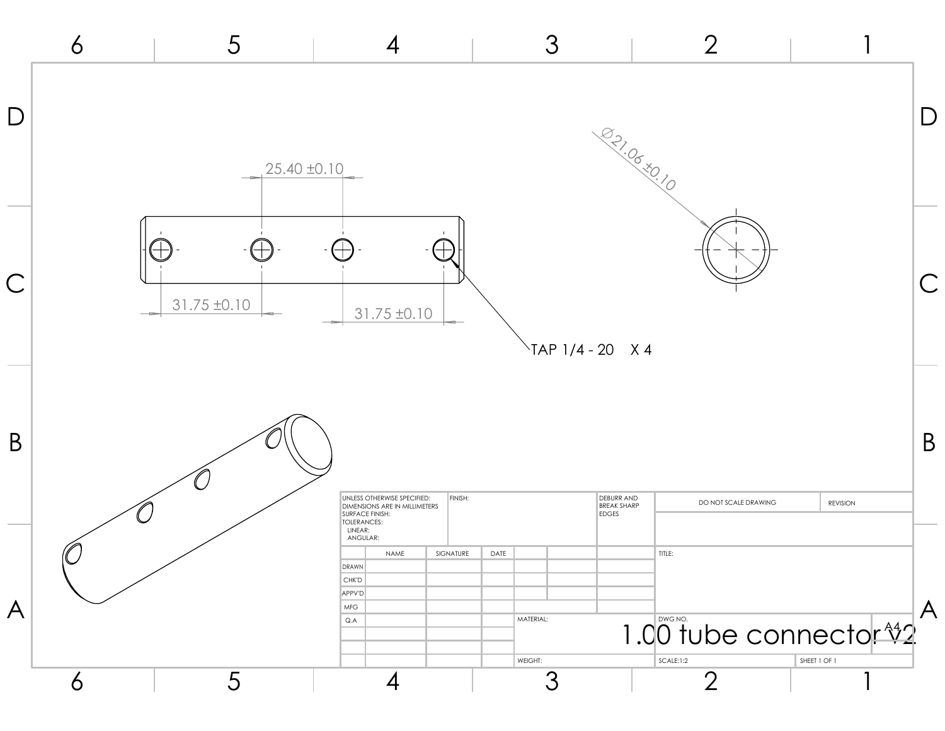